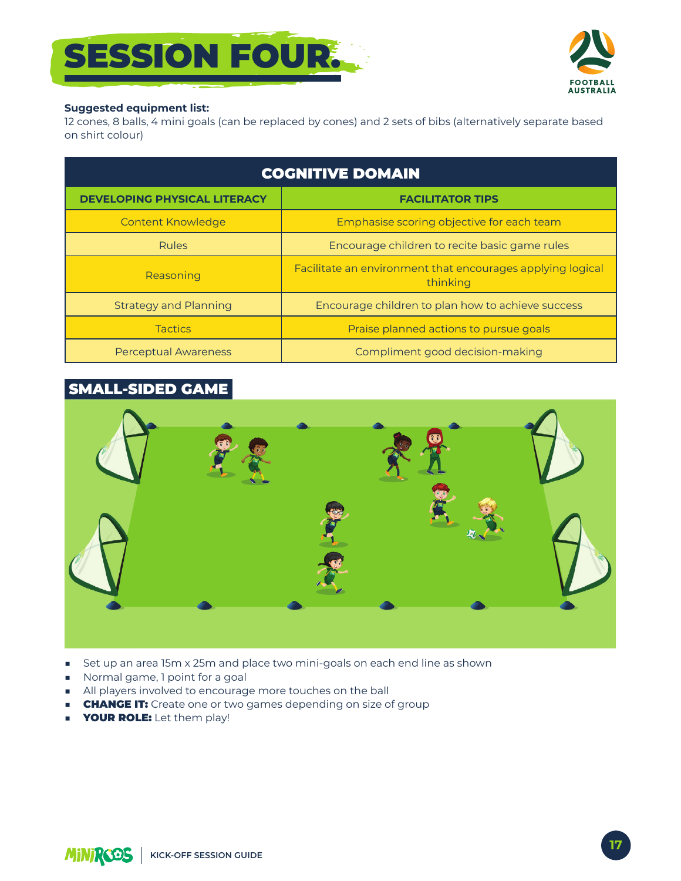# **SESSION FOUR.**



#### **Suggested equipment list:**

12 cones, 8 balls, 4 mini goals (can be replaced by cones) and 2 sets of bibs (alternatively separate based on shirt colour)

| <b>COGNITIVE DOMAIN</b>             |                                                                        |
|-------------------------------------|------------------------------------------------------------------------|
| <b>DEVELOPING PHYSICAL LITERACY</b> | <b>FACILITATOR TIPS</b>                                                |
| <b>Content Knowledge</b>            | Emphasise scoring objective for each team                              |
| <b>Rules</b>                        | Encourage children to recite basic game rules                          |
| Reasoning                           | Facilitate an environment that encourages applying logical<br>thinking |
| <b>Strategy and Planning</b>        | Encourage children to plan how to achieve success                      |
| <b>Tactics</b>                      | Praise planned actions to pursue goals                                 |
| Perceptual Awareness                | Compliment good decision-making                                        |

#### **SMALL-SIDED GAME**



- Set up an area 15m x 25m and place two mini-goals on each end line as shown  $\mathcal{L}_{\mathcal{A}}$
- Normal game, 1 point for a goal
- All players involved to encourage more touches on the ball
- **CHANGE IT:** Create one or two games depending on size of group  $\mathcal{L}_{\mathcal{A}}$
- **YOUR ROLE:** Let them play!

MINIRCOS | KICK-OFF SESSION GUIDE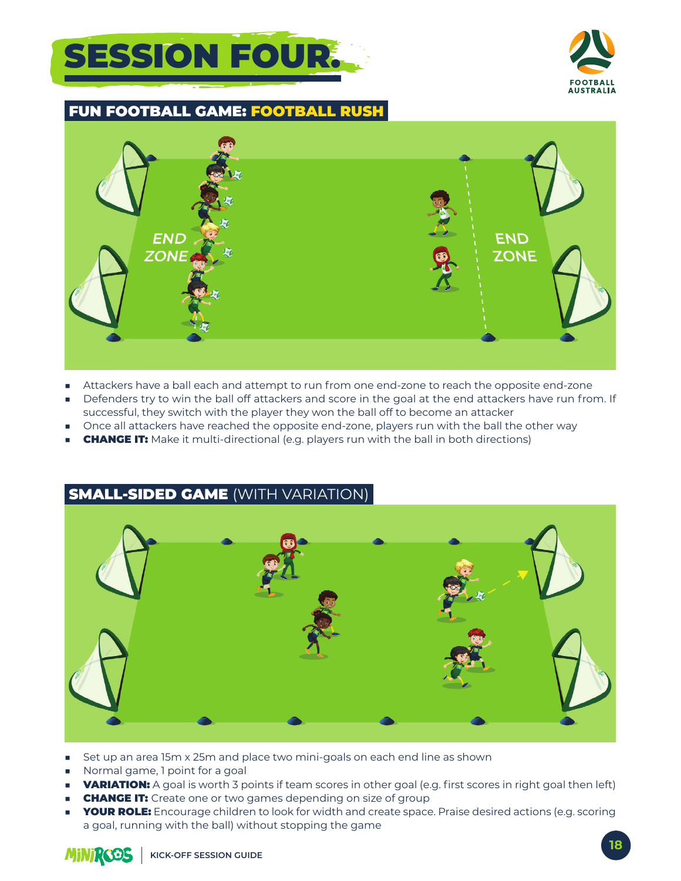# **SESSION FOUR.**



#### **FUN FOOTBALL GAME: FOOTBALL RUSH**



- Attackers have a ball each and attempt to run from one end-zone to reach the opposite end-zone ٠
- Defenders try to win the ball off attackers and score in the goal at the end attackers have run from. If successful, they switch with the player they won the ball off to become an attacker
- Once all attackers have reached the opposite end-zone, players run with the ball the other way
- **CHANGE IT:** Make it multi-directional (e.g. players run with the ball in both directions)

### **SMALL-SIDED GAME (WITH VARIATION)**



- Set up an area 15m x 25m and place two mini-goals on each end line as shown
- Normal game, I point for a goal
- **VARIATION:** A goal is worth 3 points if team scores in other goal (e.g. first scores in right goal then left)
- **CHANGE IT:** Create one or two games depending on size of group
- **YOUR ROLE:** Encourage children to look for width and create space. Praise desired actions (e.g. scoring a goal, running with the ball) without stopping the game